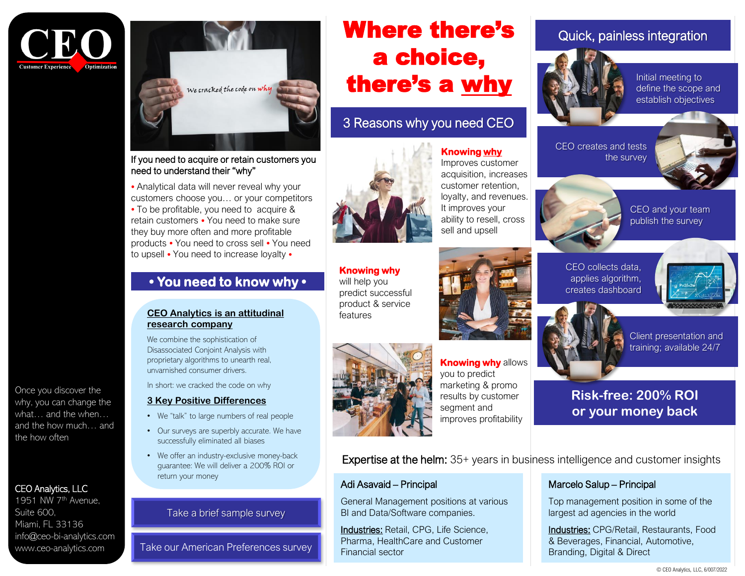



#### If you need to acquire or retain customers you need to understand their "why"

• Analytical data will never reveal why your customers choose you… or your competitors • To be profitable, you need to acquire & retain customers • You need to make sure they buy more often and more profitable products • You need to cross sell • You need to upsell • You need to increase loyalty •

# **• You need to know why •**

#### **CEO Analytics is an attitudinal research company**

We combine the sophistication of Disassociated Conjoint Analysis with proprietary algorithms to unearth real, unvarnished consumer drivers.

In short: we cracked the code on why

#### **3 Key Positive Differences**

- We "talk" to large numbers of real people
- Our surveys are superbly accurate. We have successfully eliminated all biases
- We offer an industry-exclusive money-back guarantee: We will deliver a 200% ROI or return your money

### [Take a brief sample survey](https://survey.alchemer.com/s3/6498250/CEO-Analytics-Sample-Survey)

[Take our American Preferences survey](https://survey.alchemer.com/s3/6460835/CEO-American-Preferences-Q2-2021)

# Where there's a choice, there's a why

# 3 Reasons why you need CEO



**Knowing why** will help you predict successful product & service features





sell and upsell

**Knowing why** Improves customer acquisition, increases customer retention, loyalty, and revenues. It improves your ability to resell, cross

# Quick, painless integration



Initial meeting to define the scope and establish objectives

CEO creates and tests the survey



CEO and your team publish the survey

CEO collects data, applies algorithm, creates dashboard





Client presentation and training; available 24/7

# **Risk-free: 200% ROI or your money back**

Expertise at the helm:  $35+$  years in business intelligence and customer insights

### Adi Asavaid – Principal

General Management positions at various BI and Data/Software companies.

Industries: Retail, CPG, Life Science, Pharma, HealthCare and Customer Financial sector

### Marcelo Salup – Principal

Top management position in some of the largest ad agencies in the world

Industries: CPG/Retail, Restaurants, Food & Beverages, Financial, Automotive, Branding, Digital & Direct

Once you discover the why, you can change the what… and the when… and the how much… and the how often

# CEO Analytics, LLC

1951 NW 7th Avenue, Suite 600, Miami, FL 33136 info@ceo-bi-analytics.com www.ceo-analytics.com